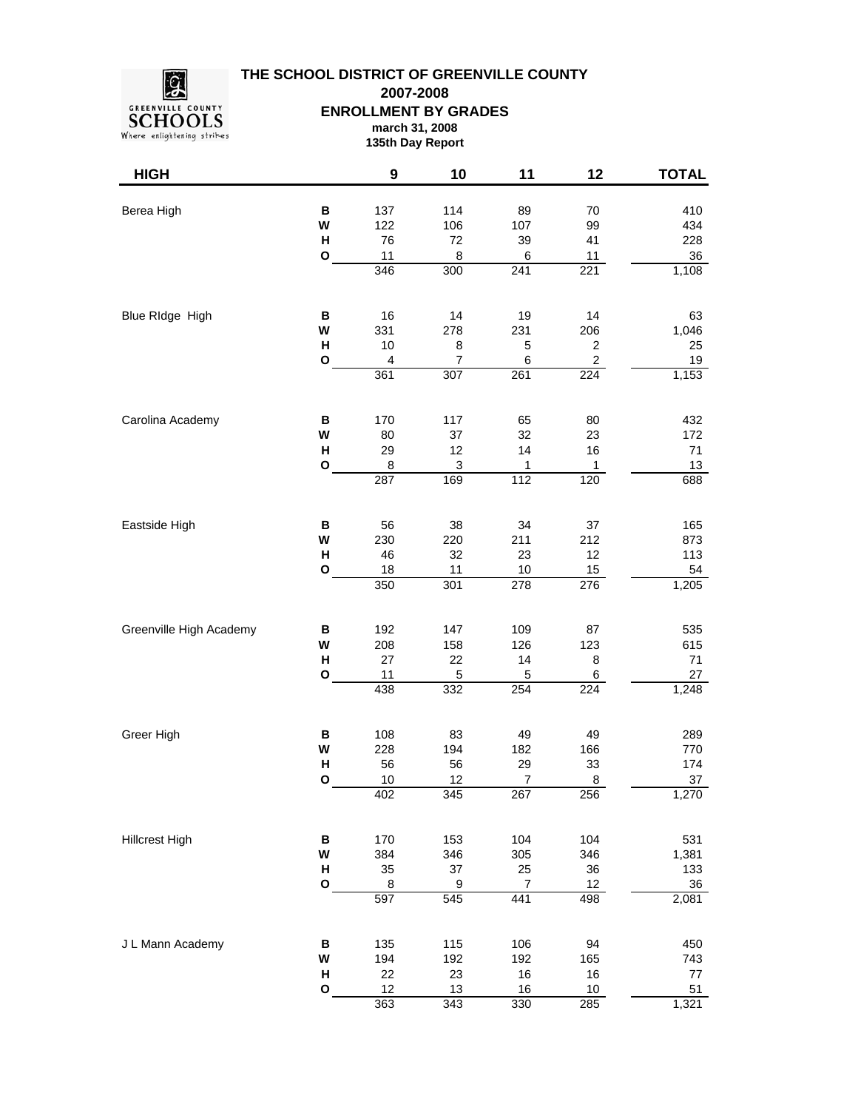**THE SCHOOL DISTRICT OF GREENVILLE COUNTY**

**2007-2008**

**ENROLLMENT BY GRADES**

**SCHOOLS**<br>SCHOOLS<br>Where enlightening strikes

 $\mathcal{G}$ 

**march 31, 2008 135th Day Report**

| <b>HIGH</b>             |                                        | 9                                          | 10                                        | 11                                        | 12                                                     | <b>TOTAL</b>                       |
|-------------------------|----------------------------------------|--------------------------------------------|-------------------------------------------|-------------------------------------------|--------------------------------------------------------|------------------------------------|
| Berea High              | B<br>W<br>Н<br>O                       | 137<br>122<br>76<br>11                     | 114<br>106<br>72<br>8                     | 89<br>107<br>39<br>6                      | 70<br>99<br>41<br>11                                   | 410<br>434<br>228<br>36            |
|                         |                                        | 346                                        | 300                                       | $\overline{241}$                          | $\overline{221}$                                       | 1,108                              |
| Blue RIdge High         | В<br>W<br>H<br>$\mathbf{o}$            | 16<br>331<br>10<br>$\overline{\mathbf{4}}$ | 14<br>278<br>8<br>$\overline{7}$          | 19<br>231<br>$\mathbf 5$<br>$\,6$         | 14<br>206<br>$\overline{c}$<br>$\overline{\mathbf{c}}$ | 63<br>1,046<br>25<br>19            |
|                         |                                        | 361                                        | 307                                       | 261                                       | 224                                                    | 1,153                              |
| Carolina Academy        | B<br>W<br>н<br>O                       | 170<br>80<br>29<br>8<br>287                | 117<br>37<br>12<br>3<br>169               | 65<br>32<br>14<br>$\mathbf{1}$<br>112     | 80<br>23<br>16<br>1<br>120                             | 432<br>172<br>71<br>13<br>688      |
|                         |                                        |                                            |                                           |                                           |                                                        |                                    |
| Eastside High           | В<br>W<br>н<br>$\mathbf{o}$            | 56<br>230<br>46<br>18                      | 38<br>220<br>32<br>11                     | 34<br>211<br>23<br>$10$                   | 37<br>212<br>12<br>15                                  | 165<br>873<br>113<br>54            |
|                         |                                        | 350                                        | 301                                       | 278                                       | 276                                                    | 1,205                              |
| Greenville High Academy | B<br>W<br>$\mathsf{H}$<br>$\mathbf{o}$ | 192<br>208<br>27<br>11<br>438              | 147<br>158<br>22<br>$\overline{5}$<br>332 | 109<br>126<br>14<br>5<br>254              | 87<br>123<br>8<br>6<br>224                             | 535<br>615<br>71<br>27<br>1,248    |
| Greer High              | В<br>W<br>H<br>О                       | 108<br>228<br>56<br>10<br>402              | 83<br>194<br>56<br>12<br>345              | 49<br>182<br>29<br>$\overline{7}$<br>267  | 49<br>166<br>33<br>8<br>256                            | 289<br>770<br>174<br>37<br>1,270   |
| <b>Hillcrest High</b>   | B<br>W<br>Н<br>$\mathbf{o}$            | 170<br>384<br>35<br>8<br>597               | 153<br>346<br>37<br>$\overline{9}$<br>545 | 104<br>305<br>25<br>$\overline{7}$<br>441 | 104<br>346<br>36<br>12<br>498                          | 531<br>1,381<br>133<br>36<br>2,081 |
| J L Mann Academy        | B<br>W<br>Н<br>O                       | 135<br>194<br>22<br>12<br>363              | 115<br>192<br>23<br>13<br>343             | 106<br>192<br>$16\,$<br>16<br>330         | 94<br>165<br>16<br>10<br>285                           | 450<br>743<br>77<br>51<br>1,321    |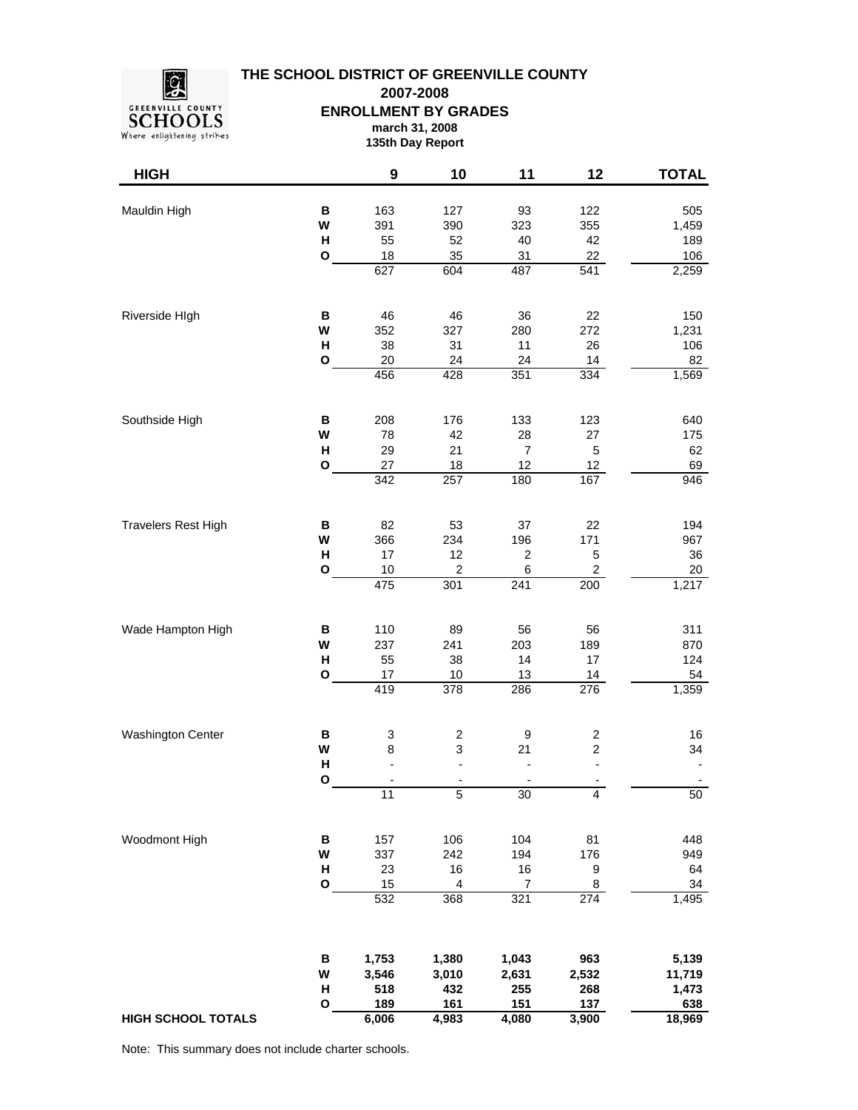**THE SCHOOL DISTRICT OF GREENVILLE COUNTY**

**2007-2008**

**ENROLLMENT BY GRADES**

**SCHOOLS**<br>SCHOOLS<br>Where enlightening strikes

 $\mathcal{G}$ 

## **march 31, 2008 135th Day Report**

| <b>HIGH</b>                |              | $\boldsymbol{9}$               | 10                    | 11                   | 12                                   | <b>TOTAL</b> |
|----------------------------|--------------|--------------------------------|-----------------------|----------------------|--------------------------------------|--------------|
| Mauldin High               | В            | 163                            | 127                   | 93                   | 122                                  | 505          |
|                            | W            | 391                            | 390                   | 323                  | 355                                  | 1,459        |
|                            | $\mathsf{H}$ | 55                             | 52                    | 40                   | 42                                   | 189          |
|                            | O            | 18                             | 35                    | 31                   | 22                                   | 106          |
|                            |              | 627                            | 604                   | 487                  | 541                                  | 2,259        |
| Riverside HIgh             | В            | 46                             | 46                    | 36                   | 22                                   | 150          |
|                            | W            | 352                            | 327                   | 280                  | 272                                  | 1,231        |
|                            | н            | 38                             | 31                    | 11                   | 26                                   | 106          |
|                            | O            | 20<br>456                      | 24<br>428             | 24<br>351            | 14<br>334                            | 82<br>1,569  |
|                            |              |                                |                       |                      |                                      |              |
| Southside High             | В            | 208                            | 176                   | 133                  | 123                                  | 640          |
|                            | W            | 78                             | 42                    | 28                   | 27                                   | 175          |
|                            | н<br>O       | 29<br>27                       | 21<br>18              | $\overline{7}$<br>12 | $\mathbf 5$<br>12                    | 62<br>69     |
|                            |              | 342                            | 257                   | 180                  | 167                                  | 946          |
| <b>Travelers Rest High</b> | B            | 82                             | 53                    | 37                   | 22                                   | 194          |
|                            | W            | 366                            | 234                   | 196                  | 171                                  | 967          |
|                            | н            | 17                             | 12                    | $\overline{2}$       | $\mathbf 5$                          | 36           |
|                            | O            | 10                             | 2                     | 6                    | $\boldsymbol{2}$                     | 20           |
|                            |              | 475                            | 301                   | 241                  | 200                                  | 1,217        |
| Wade Hampton High          | В            | 110                            | 89                    | 56                   | 56                                   | 311          |
|                            | W            | 237                            | 241                   | 203                  | 189                                  | 870          |
|                            | н            | 55                             | 38                    | 14                   | 17                                   | 124          |
|                            | $\mathbf{o}$ | 17<br>419                      | 10<br>378             | 13<br>286            | 14<br>276                            | 54<br>1,359  |
|                            |              |                                |                       |                      |                                      |              |
| Washington Center          | В<br>W       | $\ensuremath{\mathsf{3}}$<br>8 | $\boldsymbol{2}$<br>3 | 9<br>21              | $\boldsymbol{2}$<br>$\boldsymbol{2}$ | 16<br>34     |
|                            | H            |                                | $\overline{a}$        |                      |                                      |              |
|                            | O            |                                |                       |                      |                                      |              |
|                            |              | 11                             | $\overline{5}$        | 30                   | 4                                    | 50           |
| Woodmont High              | В            | 157                            | 106                   | 104                  | 81                                   | 448          |
|                            | W            | 337                            | 242                   | 194                  | 176                                  | 949          |
|                            | н            | 23                             | 16                    | 16                   | 9                                    | 64           |
|                            | O            | 15                             | 4                     | $\overline{7}$       | 8                                    | 34           |
|                            |              | 532                            | 368                   | 321                  | $\overline{274}$                     | 1,495        |
|                            | В            | 1,753                          | 1,380                 | 1,043                | 963                                  | 5,139        |
|                            | W            | 3,546                          | 3,010                 | 2,631                | 2,532                                | 11,719       |
|                            | Н            | 518                            | 432                   | 255                  | 268                                  | 1,473        |
|                            | O            | 189                            | 161                   | 151                  | 137                                  | 638          |
| <b>HIGH SCHOOL TOTALS</b>  |              | 6,006                          | 4,983                 | 4,080                | 3,900                                | 18,969       |

Note: This summary does not include charter schools.